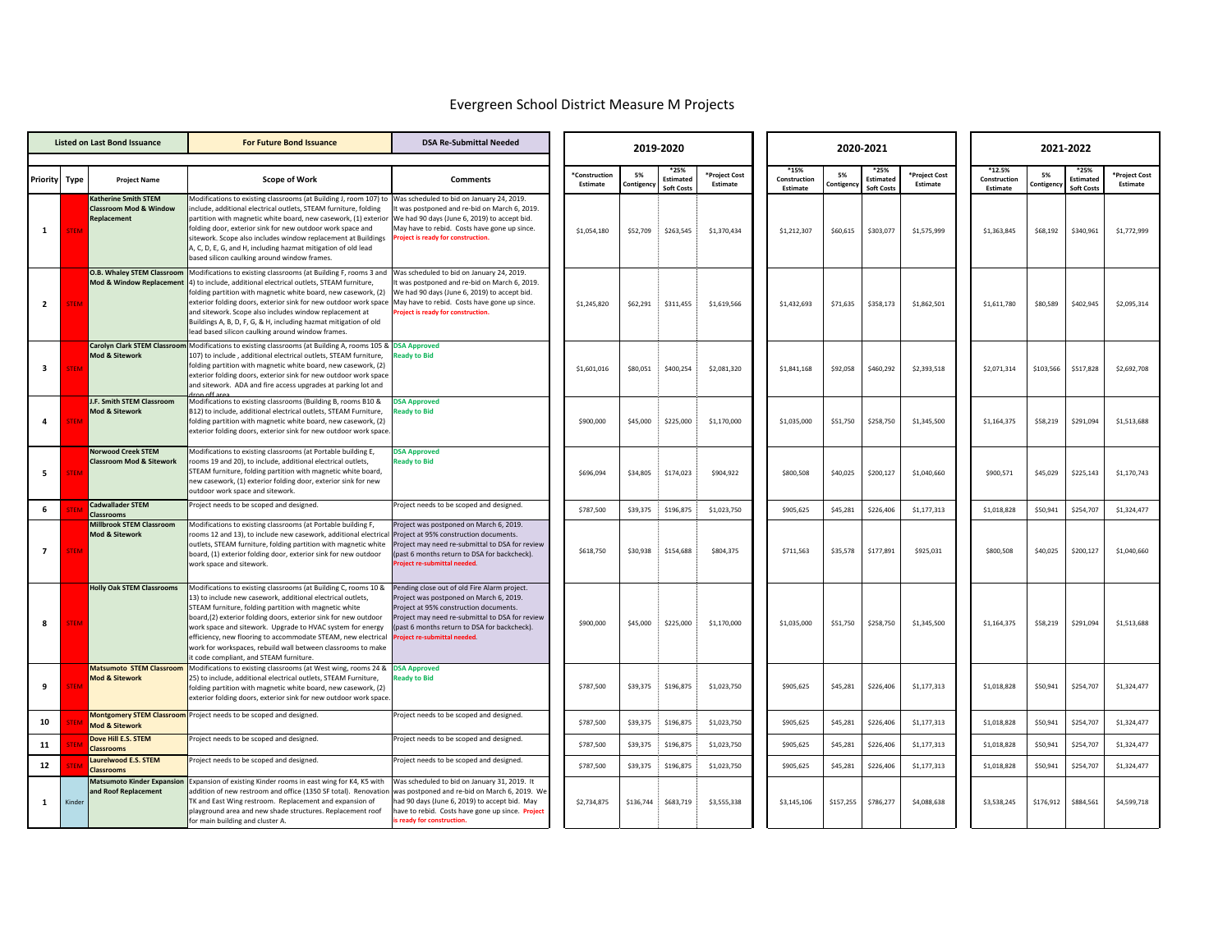## Evergreen School District Measure M Projects

| <b>Listed on Last Bond Issuance</b> |             |                                                                  | <b>For Future Bond Issuance</b>                                                                                                                                                                                                                                                                                                                                                                                                                                                                                                                                                | <b>DSA Re-Submittal Needed</b>                                                                                                                                                                                                                                     |                           |                  |                                               |                           | 2020-2021                        |                 | 2021-2022                              |                           |                                    |                |                                        |                           |
|-------------------------------------|-------------|------------------------------------------------------------------|--------------------------------------------------------------------------------------------------------------------------------------------------------------------------------------------------------------------------------------------------------------------------------------------------------------------------------------------------------------------------------------------------------------------------------------------------------------------------------------------------------------------------------------------------------------------------------|--------------------------------------------------------------------------------------------------------------------------------------------------------------------------------------------------------------------------------------------------------------------|---------------------------|------------------|-----------------------------------------------|---------------------------|----------------------------------|-----------------|----------------------------------------|---------------------------|------------------------------------|----------------|----------------------------------------|---------------------------|
| Priority Type                       |             | <b>Project Name</b>                                              | <b>Scope of Work</b>                                                                                                                                                                                                                                                                                                                                                                                                                                                                                                                                                           | <b>Comments</b>                                                                                                                                                                                                                                                    | *Construction<br>Estimate | 5%<br>Contigency | *25%<br><b>Estimated</b><br><b>Soft Costs</b> | *Project Cost<br>Estimate | *15%<br>Construction<br>Estimate | 5%<br>contigenc | *25%<br>Estimated<br><b>Soft Costs</b> | *Project Cost<br>Estimate | *12.5%<br>Construction<br>Estimate | 5%<br>ontigenc | *25%<br>Estimated<br><b>Soft Costs</b> | *Project Cost<br>Estimate |
| $\mathbf{1}$                        | <b>TEN</b>  | Katherine Smith STEM<br>Classroom Mod & Window<br>Replacement    | Modifications to existing classrooms (at Building J, room 107) to Was scheduled to bid on January 24, 2019.<br>nclude, additional electrical outlets, STEAM furniture, folding<br>partition with magnetic white board, new casework, (1) exterior We had 90 days (June 6, 2019) to accept bid.<br>folding door, exterior sink for new outdoor work space and<br>sitework. Scope also includes window replacement at Buildings<br>A, C, D, E, G, and H, including hazmat mitigation of old lead<br>based silicon caulking around window frames.                                 | It was postponed and re-bid on March 6, 2019.<br>May have to rebid. Costs have gone up since.<br><b>Project is ready for construction.</b>                                                                                                                         | \$1,054,180               | \$52,709         | \$263,545                                     | \$1,370,434               | \$1,212,307                      | \$60,615        | \$303,077                              | \$1,575,999               | \$1,363,845                        | \$68,192       | \$340,961                              | \$1,772,999               |
| $\overline{2}$                      | <b>TEM</b>  | Mod & Window Replacement                                         | O.B. Whaley STEM Classroom Modifications to existing classrooms (at Building F, rooms 3 and Was scheduled to bid on January 24, 2019.<br>4) to include, additional electrical outlets, STEAM furniture,<br>folding partition with magnetic white board, new casework, (2)<br>exterior folding doors, exterior sink for new outdoor work space May have to rebid. Costs have gone up since.<br>and sitework. Scope also includes window replacement at<br>Buildings A, B, D, F, G, & H, including hazmat mitigation of old<br>lead based silicon caulking around window frames. | t was postponed and re-bid on March 6, 2019.<br>We had 90 days (June 6, 2019) to accept bid.<br><b>Project is ready for construction.</b>                                                                                                                          | \$1,245,820               | \$62,291         | \$311,455                                     | \$1,619,566               | \$1,432,693                      | \$71,635        | \$358,173                              | \$1,862,501               | \$1,611,780                        | \$80,589       | \$402,945                              | \$2,095,314               |
| $\overline{\mathbf{3}}$             | <b>STEM</b> | Mod & Sitework                                                   | Carolyn Clark STEM Classroom Modifications to existing classrooms (at Building A, rooms 105 & DSA Approved<br>107) to include, additional electrical outlets. STEAM furniture.<br>folding partition with magnetic white board, new casework, (2)<br>exterior folding doors, exterior sink for new outdoor work space<br>and sitework. ADA and fire access upgrades at parking lot and                                                                                                                                                                                          | <b>Ready to Bid</b>                                                                                                                                                                                                                                                | \$1,601,016               | \$80,051         | \$400,254                                     | \$2,081,320               | \$1,841,168                      | \$92,058        | \$460,292                              | \$2,393,518               | \$2,071,314                        | \$103,566      | \$517,828                              | \$2,692,708               |
| $\overline{4}$                      | <b>TEN</b>  | <b>I.F. Smith STEM Classroom</b><br>Mod & Sitework               | Modifications to existing classrooms (Building B, rooms B10 &<br>B12) to include, additional electrical outlets, STEAM Furniture,<br>folding partition with magnetic white board, new casework, (2)<br>exterior folding doors, exterior sink for new outdoor work space                                                                                                                                                                                                                                                                                                        | <b>DSA Approved</b><br><b>Ready to Bid</b>                                                                                                                                                                                                                         | \$900,000                 | \$45,000         | \$225,000                                     | \$1,170,000               | \$1,035,000                      | \$51,750        | \$258,750                              | \$1,345,500               | \$1,164,375                        | \$58,219       | \$291,094                              | \$1,513,688               |
| 5                                   | <b>TEM</b>  | <b>Norwood Creek STEM</b><br><b>Classroom Mod &amp; Sitework</b> | Modifications to existing classrooms (at Portable building E,<br>rooms 19 and 20), to include, additional electrical outlets,<br>STEAM furniture, folding partition with magnetic white board,<br>new casework, (1) exterior folding door, exterior sink for new<br>outdoor work space and sitework.                                                                                                                                                                                                                                                                           | <b>DSA Approved</b><br><b>Ready to Bid</b>                                                                                                                                                                                                                         | \$696.094                 | \$34,805         | \$174,023                                     | \$904.922                 | \$800,508                        | \$40,025        | \$200,127                              | \$1,040,660               | \$900,571                          | \$45.029       | \$225,143                              | \$1,170,743               |
| 6                                   |             | Cadwallader STEM<br>Classrooms                                   | Project needs to be scoped and designed.                                                                                                                                                                                                                                                                                                                                                                                                                                                                                                                                       | Project needs to be scoped and designed.                                                                                                                                                                                                                           | \$787,500                 | \$39,375         | \$196,875                                     | \$1,023,750               | \$905,625                        | \$45,281        | \$226,406                              | \$1,177,313               | \$1,018,828                        | \$50,941       | \$254,707                              | \$1,324,477               |
| $\overline{7}$                      |             | <b>Millbrook STEM Classroom</b><br>Mod & Sitework                | Modifications to existing classrooms (at Portable building F,<br>rooms 12 and 13), to include new casework, additional electrical<br>outlets, STEAM furniture, folding partition with magnetic white<br>board, (1) exterior folding door, exterior sink for new outdoor<br>work space and sitework.                                                                                                                                                                                                                                                                            | Project was postponed on March 6, 2019.<br>Project at 95% construction documents.<br>Project may need re-submittal to DSA for review<br>(past 6 months return to DSA for backcheck).<br>roject re-submittal needed.                                                | \$618,750                 | \$30,938         | \$154,688                                     | \$804,375                 | \$711,563                        | \$35,578        | \$177,891                              | \$925,031                 | \$800,508                          | \$40,025       | \$200,127                              | \$1,040,660               |
| 8                                   | TEM         | <b>Holly Oak STEM Classrooms</b>                                 | Modifications to existing classrooms (at Building C, rooms 10 &<br>13) to include new casework, additional electrical outlets,<br>STEAM furniture, folding partition with magnetic white<br>board,(2) exterior folding doors, exterior sink for new outdoor<br>work space and sitework. Upgrade to HVAC system for energy<br>efficiency, new flooring to accommodate STEAM, new electrical<br>work for workspaces, rebuild wall between classrooms to make<br>t code compliant, and STEAM furniture.                                                                           | Pending close out of old Fire Alarm project.<br>Project was postponed on March 6, 2019.<br>Project at 95% construction documents.<br>Project may need re-submittal to DSA for review<br>(past 6 months return to DSA for backcheck).<br>oject re-submittal needed. | \$900,000                 | \$45,000         | \$225,000                                     | \$1,170,000               | \$1,035,000                      | \$51,750        | \$258,750                              | \$1,345,500               | \$1,164,375                        | \$58,219       | \$291,094                              | \$1,513,688               |
| 9                                   | <b>TEN</b>  | <b>Matsumoto STEM Classroom</b><br><b>Mod &amp; Sitework</b>     | Modifications to existing classrooms (at West wing, rooms 24 &<br>25) to include, additional electrical outlets, STEAM Furniture,<br>folding partition with magnetic white board, new casework, (2)<br>exterior folding doors, exterior sink for new outdoor work space                                                                                                                                                                                                                                                                                                        | <b>DSA Approved</b><br><b>Ready to Bid</b>                                                                                                                                                                                                                         | \$787,500                 | \$39,375         | \$196,875                                     | \$1,023,750               | \$905,625                        | \$45,281        | \$226,406                              | \$1,177,313               | \$1,018,828                        | \$50,941       | \$254,707                              | \$1,324,477               |
| 10                                  |             | <b>Mod &amp; Sitework</b>                                        | <b>Montgomery STEM Classroom</b> Project needs to be scoped and designed.                                                                                                                                                                                                                                                                                                                                                                                                                                                                                                      | Project needs to be scoped and designed.                                                                                                                                                                                                                           | \$787,500                 | \$39,375         | \$196,875                                     | \$1,023,750               | \$905,625                        | \$45,281        | \$226,406                              | \$1,177,313               | \$1,018,828                        | \$50,941       | \$254,707                              | \$1,324,477               |
| 11                                  |             | Dove Hill E.S. STEM<br><b>Classrooms</b>                         | Project needs to be scoped and designed.                                                                                                                                                                                                                                                                                                                                                                                                                                                                                                                                       | Project needs to be scoped and designed.                                                                                                                                                                                                                           | \$787,500                 | \$39,375         | \$196,875                                     | \$1,023,750               | \$905,625                        | \$45,281        | \$226,406                              | \$1,177,313               | \$1,018,828                        | \$50,941       | \$254,707                              | \$1,324,477               |
| 12                                  |             | Laurelwood E.S. STEM<br><b>Classrooms</b>                        | Project needs to be scoped and designed.                                                                                                                                                                                                                                                                                                                                                                                                                                                                                                                                       | Project needs to be scoped and designed.                                                                                                                                                                                                                           | \$787,500                 | \$39,375         | \$196,875                                     | \$1,023,750               | \$905,625                        | \$45,281        | \$226,406                              | \$1,177,313               | \$1,018,828                        | \$50,941       | \$254,707                              | \$1,324,477               |
| 1                                   | Kinde       | <b>Matsumoto Kinder Expansion</b><br><b>Ind Roof Replacement</b> | Expansion of existing Kinder rooms in east wing for K4, K5 with<br>addition of new restroom and office (1350 SF total). Renovation<br>TK and East Wing restroom. Replacement and expansion of<br>playground area and new shade structures. Replacement roof<br>for main building and cluster A.                                                                                                                                                                                                                                                                                | Was scheduled to bid on January 31, 2019. It<br>was postponed and re-bid on March 6, 2019. We<br>had 90 days (June 6, 2019) to accept bid. May<br>have to rebid. Costs have gone up since. Project<br>s ready for construction                                     | \$2,734,875               | \$136,744        | \$683,719                                     | \$3,555,338               | \$3,145,106                      | \$157,255       | \$786,277                              | \$4,088,638               | \$3,538,245                        | \$176,912      | \$884,561                              | \$4,599,718               |